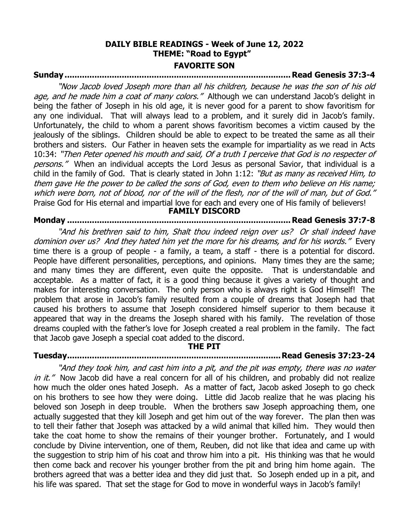# **DAILY BIBLE READINGS - Week of June 12, 2022 THEME: "Road to Egypt" FAVORITE SON**

# **Sunday ........................................................................................... Read Genesis 37:3-4**

"Now Jacob loved Joseph more than all his children, because he was the son of his old age, and he made him a coat of many colors." Although we can understand Jacob's delight in being the father of Joseph in his old age, it is never good for a parent to show favoritism for any one individual. That will always lead to a problem, and it surely did in Jacob's family. Unfortunately, the child to whom a parent shows favoritism becomes a victim caused by the jealously of the siblings. Children should be able to expect to be treated the same as all their brothers and sisters. Our Father in heaven sets the example for impartiality as we read in Acts 10:34: "Then Peter opened his mouth and said, Of a truth I perceive that God is no respecter of persons." When an individual accepts the Lord Jesus as personal Savior, that individual is a child in the family of God. That is clearly stated in John 1:12: "But as many as received Him, to them gave He the power to be called the sons of God, even to them who believe on His name; which were born, not of blood, nor of the will of the flesh, nor of the will of man, but of God." Praise God for His eternal and impartial love for each and every one of His family of believers! **FAMILY DISCORD**

**Monday .......................................................................................... Read Genesis 37:7-8** 

"And his brethren said to him, Shalt thou indeed reign over us? Or shall indeed have dominion over us? And they hated him yet the more for his dreams, and for his words." Every time there is a group of people - a family, a team, a staff - there is a potential for discord. People have different personalities, perceptions, and opinions. Many times they are the same; and many times they are different, even quite the opposite. That is understandable and acceptable. As a matter of fact, it is a good thing because it gives a variety of thought and makes for interesting conversation. The only person who is always right is God Himself! The problem that arose in Jacob's family resulted from a couple of dreams that Joseph had that caused his brothers to assume that Joseph considered himself superior to them because it appeared that way in the dreams the Joseph shared with his family. The revelation of those dreams coupled with the father's love for Joseph created a real problem in the family. The fact that Jacob gave Joseph a special coat added to the discord.

### **THE PIT**

# **Tuesday......................................................................................Read Genesis 37:23-24**

"And they took him, and cast him into a pit, and the pit was empty, there was no water *in it.*" Now Jacob did have a real concern for all of his children, and probably did not realize how much the older ones hated Joseph. As a matter of fact, Jacob asked Joseph to go check on his brothers to see how they were doing. Little did Jacob realize that he was placing his beloved son Joseph in deep trouble. When the brothers saw Joseph approaching them, one actually suggested that they kill Joseph and get him out of the way forever. The plan then was to tell their father that Joseph was attacked by a wild animal that killed him. They would then take the coat home to show the remains of their younger brother. Fortunately, and I would conclude by Divine intervention, one of them, Reuben, did not like that idea and came up with the suggestion to strip him of his coat and throw him into a pit. His thinking was that he would then come back and recover his younger brother from the pit and bring him home again. The brothers agreed that was a better idea and they did just that. So Joseph ended up in a pit, and his life was spared. That set the stage for God to move in wonderful ways in Jacob's family!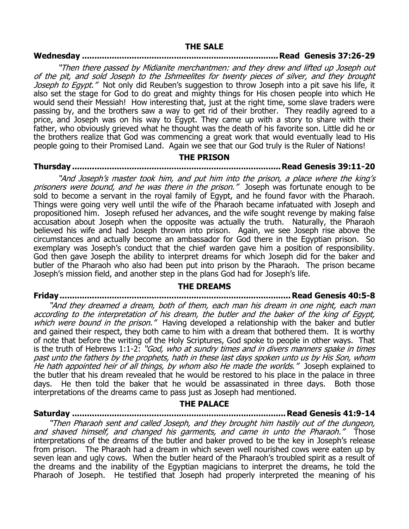#### **THE SALE**

## **Wednesday ...............................................................................Read Genesis 37:26-29**

"Then there passed by Midianite merchantmen: and they drew and lifted up Joseph out of the pit, and sold Joseph to the Ishmeelites for twenty pieces of silver, and they brought Joseph to Egypt." Not only did Reuben's suggestion to throw Joseph into a pit save his life, it also set the stage for God to do great and mighty things for His chosen people into which He would send their Messiah! How interesting that, just at the right time, some slave traders were passing by, and the brothers saw a way to get rid of their brother. They readily agreed to a price, and Joseph was on his way to Egypt. They came up with a story to share with their father, who obviously grieved what he thought was the death of his favorite son. Little did he or the brothers realize that God was commencing a great work that would eventually lead to His people going to their Promised Land. Again we see that our God truly is the Ruler of Nations!

### **THE PRISON**

## **Thursday ....................................................................................Read Genesis 39:11-20**

"And Joseph's master took him, and put him into the prison, a place where the king'<sup>s</sup> prisoners were bound, and he was there in the prison." Joseph was fortunate enough to be sold to become a servant in the royal family of Egypt, and he found favor with the Pharaoh. Things were going very well until the wife of the Pharaoh became infatuated with Joseph and propositioned him. Joseph refused her advances, and the wife sought revenge by making false accusation about Joseph when the opposite was actually the truth. Naturally, the Pharaoh believed his wife and had Joseph thrown into prison. Again, we see Joseph rise above the circumstances and actually become an ambassador for God there in the Egyptian prison. So exemplary was Joseph's conduct that the chief warden gave him a position of responsibility. God then gave Joseph the ability to interpret dreams for which Joseph did for the baker and butler of the Pharaoh who also had been put into prison by the Pharaoh. The prison became Joseph's mission field, and another step in the plans God had for Joseph's life.

### **THE DREAMS**

**Friday............................................................................................. Read Genesis 40:5-8**  "And they dreamed a dream, both of them, each man his dream in one night, each man according to the interpretation of his dream, the butler and the baker of the king of Egypt, which were bound in the prison." Having developed a relationship with the baker and butler and gained their respect, they both came to him with a dream that bothered them. It is worthy of note that before the writing of the Holy Scriptures, God spoke to people in other ways. That is the truth of Hebrews 1:1-2: "God, who at sundry times and in divers manners spake in times past unto the fathers by the prophets, hath in these last days spoken unto us by His Son, whom He hath appointed heir of all things, by whom also He made the worlds." Joseph explained to the butler that his dream revealed that he would be restored to his place in the palace in three days. He then told the baker that he would be assassinated in three days. Both those interpretations of the dreams came to pass just as Joseph had mentioned.

### **THE PALACE**

## **Saturday ......................................................................................Read Genesis 41:9-14**

"Then Pharaoh sent and called Joseph, and they brought him hastily out of the dungeon, and shaved himself, and changed his garments, and came in unto the Pharaoh." Those interpretations of the dreams of the butler and baker proved to be the key in Joseph's release from prison. The Pharaoh had a dream in which seven well nourished cows were eaten up by seven lean and ugly cows. When the butler heard of the Pharaoh's troubled spirit as a result of the dreams and the inability of the Egyptian magicians to interpret the dreams, he told the Pharaoh of Joseph. He testified that Joseph had properly interpreted the meaning of his